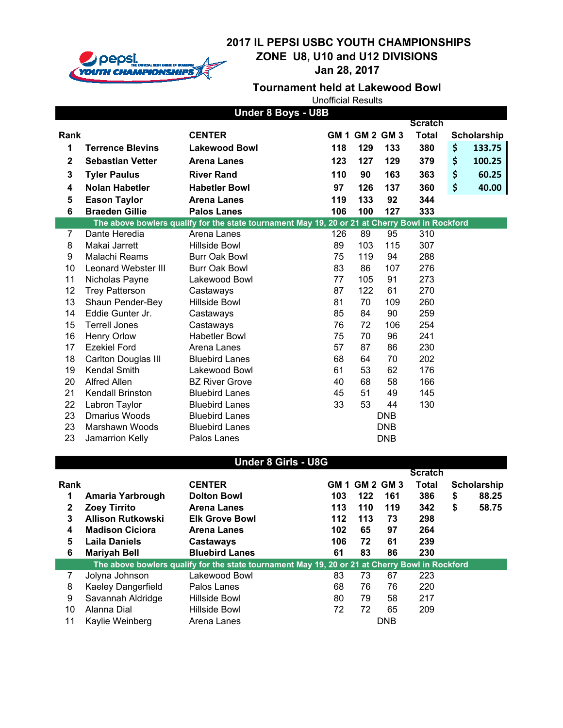

**Jan 28, 2017**

## **Tournament held at Lakewood Bowl**

| <b>Under 8 Boys - U8B</b>                                                                      |                            |                                                                                                |     |                |            |                |    |                    |
|------------------------------------------------------------------------------------------------|----------------------------|------------------------------------------------------------------------------------------------|-----|----------------|------------|----------------|----|--------------------|
|                                                                                                |                            |                                                                                                |     |                |            | <b>Scratch</b> |    |                    |
| Rank                                                                                           |                            | <b>CENTER</b>                                                                                  |     | GM 1 GM 2 GM 3 |            | <b>Total</b>   |    | <b>Scholarship</b> |
| 1                                                                                              | <b>Terrence Blevins</b>    | <b>Lakewood Bowl</b>                                                                           | 118 | 129            | 133        | 380            | \$ | 133.75             |
| 2                                                                                              | <b>Sebastian Vetter</b>    | <b>Arena Lanes</b>                                                                             | 123 | 127            | 129        | 379            | \$ | 100.25             |
| 3                                                                                              | <b>Tyler Paulus</b>        | <b>River Rand</b>                                                                              | 110 | 90             | 163        | 363            | \$ | 60.25              |
| 4                                                                                              | <b>Nolan Habetler</b>      | <b>Habetler Bowl</b>                                                                           | 97  | 126            | 137        | 360            | \$ | 40.00              |
| 5                                                                                              | <b>Eason Taylor</b>        | <b>Arena Lanes</b>                                                                             | 119 | 133            | 92         | 344            |    |                    |
| 6                                                                                              | <b>Braeden Gillie</b>      | <b>Palos Lanes</b>                                                                             | 106 | 100            | 127        | 333            |    |                    |
|                                                                                                |                            | The above bowlers qualify for the state tournament May 19, 20 or 21 at Cherry Bowl in Rockford |     |                |            |                |    |                    |
| 7                                                                                              | Dante Heredia              | Arena Lanes                                                                                    | 126 | 89             | 95         | 310            |    |                    |
| 8                                                                                              | Makai Jarrett              | Hillside Bowl                                                                                  | 89  | 103            | 115        | 307            |    |                    |
| 9                                                                                              | Malachi Reams              | Burr Oak Bowl                                                                                  | 75  | 119            | 94         | 288            |    |                    |
| 10                                                                                             | <b>Leonard Webster III</b> | <b>Burr Oak Bowl</b>                                                                           | 83  | 86             | 107        | 276            |    |                    |
| 11                                                                                             | Nicholas Payne             | Lakewood Bowl                                                                                  | 77  | 105            | 91         | 273            |    |                    |
| 12                                                                                             | <b>Trey Patterson</b>      | Castaways                                                                                      | 87  | 122            | 61         | 270            |    |                    |
| 13                                                                                             | Shaun Pender-Bey           | Hillside Bowl                                                                                  | 81  | 70             | 109        | 260            |    |                    |
| 14                                                                                             | Eddie Gunter Jr.           | Castaways                                                                                      | 85  | 84             | 90         | 259            |    |                    |
| 15                                                                                             | <b>Terrell Jones</b>       | Castaways                                                                                      | 76  | 72             | 106        | 254            |    |                    |
| 16                                                                                             | <b>Henry Orlow</b>         | <b>Habetler Bowl</b>                                                                           | 75  | 70             | 96         | 241            |    |                    |
| 17                                                                                             | <b>Ezekiel Ford</b>        | Arena Lanes                                                                                    | 57  | 87             | 86         | 230            |    |                    |
| 18                                                                                             | <b>Carlton Douglas III</b> | <b>Bluebird Lanes</b>                                                                          | 68  | 64             | 70         | 202            |    |                    |
| 19                                                                                             | <b>Kendal Smith</b>        | Lakewood Bowl                                                                                  | 61  | 53             | 62         | 176            |    |                    |
| 20                                                                                             | <b>Alfred Allen</b>        | <b>BZ River Grove</b>                                                                          | 40  | 68             | 58         | 166            |    |                    |
| 21                                                                                             | Kendall Brinston           | <b>Bluebird Lanes</b>                                                                          | 45  | 51             | 49         | 145            |    |                    |
| 22                                                                                             | Labron Taylor              | <b>Bluebird Lanes</b>                                                                          | 33  | 53             | 44         | 130            |    |                    |
| 23                                                                                             | <b>Dmarius Woods</b>       | <b>Bluebird Lanes</b>                                                                          |     |                | <b>DNB</b> |                |    |                    |
| 23                                                                                             | Marshawn Woods             | <b>Bluebird Lanes</b>                                                                          |     |                | <b>DNB</b> |                |    |                    |
| 23                                                                                             | Jamarrion Kelly            | Palos Lanes                                                                                    |     |                | <b>DNB</b> |                |    |                    |
|                                                                                                |                            |                                                                                                |     |                |            |                |    |                    |
|                                                                                                |                            | <b>Under 8 Girls - U8G</b>                                                                     |     |                |            | <b>Scratch</b> |    |                    |
| Rank                                                                                           |                            | <b>CENTER</b>                                                                                  |     | GM 1 GM 2 GM 3 |            | <b>Total</b>   |    | Scholarship        |
| 1                                                                                              | Amaria Yarbrough           | <b>Dolton Bowl</b>                                                                             | 103 | 122            | 161        | 386            | \$ | 88.25              |
| 2                                                                                              | <b>Zoey Tirrito</b>        | <b>Arena Lanes</b>                                                                             | 113 | 110            | 119        | 342            | \$ | 58.75              |
| 3                                                                                              | <b>Allison Rutkowski</b>   | <b>Elk Grove Bowl</b>                                                                          | 112 | 113            | 73         | 298            |    |                    |
| 4                                                                                              | <b>Madison Ciciora</b>     | <b>Arena Lanes</b>                                                                             | 102 | 65             | 97         | 264            |    |                    |
| 5                                                                                              | <b>Laila Daniels</b>       | <b>Castaways</b>                                                                               | 106 | 72             | 61         | 239            |    |                    |
| 6                                                                                              | <b>Mariyah Bell</b>        | <b>Bluebird Lanes</b>                                                                          | 61  | 83             | 86         | 230            |    |                    |
| The above bowlers qualify for the state tournament May 19, 20 or 21 at Cherry Bowl in Rockford |                            |                                                                                                |     |                |            |                |    |                    |
| 7                                                                                              | Jolyna Johnson             | Lakewood Bowl                                                                                  | 83  | 73             | 67         | 223            |    |                    |
| 8                                                                                              | Kaeley Dangerfield         | Palos Lanes                                                                                    | 68  | 76             | 76         | 220            |    |                    |
| 9                                                                                              | Savannah Aldridge          | Hillside Bowl                                                                                  | 80  | 79             | 58         | 217            |    |                    |
| 10                                                                                             | Alanna Dial                | Hillside Bowl                                                                                  | 72  | 72             | 65         | 209            |    |                    |
| 11                                                                                             | Kaylie Weinberg            | Arena Lanes                                                                                    |     |                | <b>DNB</b> |                |    |                    |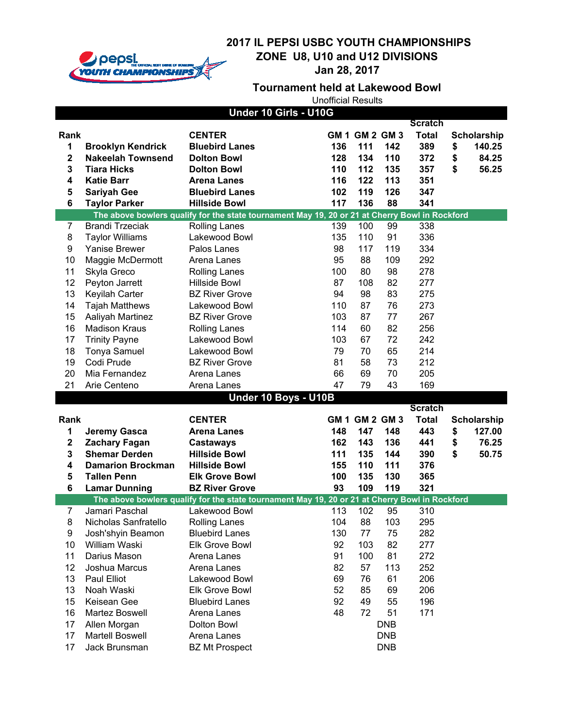

**Jan 28, 2017**

#### **Tournament held at Lakewood Bowl**

|                         |                               | Under 10 Girls - U10G                                                                                           |      |                  |            |                |                    |
|-------------------------|-------------------------------|-----------------------------------------------------------------------------------------------------------------|------|------------------|------------|----------------|--------------------|
|                         |                               |                                                                                                                 |      |                  |            | <b>Scratch</b> |                    |
| Rank                    |                               | <b>CENTER</b>                                                                                                   |      | GM 1 GM 2 GM 3   |            | <b>Total</b>   | <b>Scholarship</b> |
| $\mathbf{1}$            | <b>Brooklyn Kendrick</b>      | <b>Bluebird Lanes</b>                                                                                           | 136  | 111              | 142        | 389            | \$<br>140.25       |
| $\overline{\mathbf{2}}$ | <b>Nakeelah Townsend</b>      | <b>Dolton Bowl</b>                                                                                              | 128  | 134              | 110        | 372            | \$<br>84.25        |
| 3                       | <b>Tiara Hicks</b>            | <b>Dolton Bowl</b>                                                                                              | 110  | 112              | 135        | 357            | \$<br>56.25        |
| 4                       | <b>Katie Barr</b>             | <b>Arena Lanes</b>                                                                                              | 116  | 122              | 113        | 351            |                    |
| 5                       | <b>Sariyah Gee</b>            | <b>Bluebird Lanes</b>                                                                                           | 102  | 119              | 126        | 347            |                    |
| $6\phantom{1}6$         | <b>Taylor Parker</b>          | <b>Hillside Bowl</b>                                                                                            | 117  | 136              | 88         | 341            |                    |
|                         |                               | The above bowlers qualify for the state tournament May 19, 20 or 21 at Cherry Bowl in Rockford                  |      |                  |            |                |                    |
| 7                       | <b>Brandi Trzeciak</b>        | <b>Rolling Lanes</b>                                                                                            | 139  | 100              | 99         | 338            |                    |
| 8                       | <b>Taylor Williams</b>        | Lakewood Bowl                                                                                                   | 135  | 110              | 91         | 336            |                    |
| 9                       | <b>Yanise Brewer</b>          | Palos Lanes                                                                                                     | 98   | 117              | 119        | 334            |                    |
| 10                      | Maggie McDermott              | Arena Lanes                                                                                                     | 95   | 88               | 109        | 292            |                    |
| 11                      | Skyla Greco                   | <b>Rolling Lanes</b>                                                                                            | 100  | 80               | 98         | 278            |                    |
| 12                      | Peyton Jarrett                | <b>Hillside Bowl</b>                                                                                            | 87   | 108              | 82         | 277            |                    |
| 13                      | Keyilah Carter                | <b>BZ River Grove</b>                                                                                           | 94   | 98               | 83         | 275            |                    |
| 14                      | <b>Tajah Matthews</b>         | Lakewood Bowl                                                                                                   | 110  | 87               | 76         | 273            |                    |
| 15                      | Aaliyah Martinez              | <b>BZ River Grove</b>                                                                                           | 103  | 87               | 77         | 267            |                    |
| 16                      | <b>Madison Kraus</b>          | <b>Rolling Lanes</b>                                                                                            | 114  | 60               | 82         | 256            |                    |
| 17                      | <b>Trinity Payne</b>          | Lakewood Bowl                                                                                                   | 103  | 67               | 72         | 242            |                    |
| 18                      | Tonya Samuel                  | Lakewood Bowl                                                                                                   | 79   | 70               | 65         | 214            |                    |
| 19                      | Codi Prude                    | <b>BZ River Grove</b>                                                                                           | 81   | 58               | 73         | 212            |                    |
| 20                      | Mia Fernandez                 | Arena Lanes                                                                                                     | 66   | 69               | 70         | 205            |                    |
| 21                      | Arie Centeno                  | Arena Lanes                                                                                                     | 47   | 79               | 43         | 169            |                    |
|                         |                               | Under 10 Boys - U10B                                                                                            |      |                  |            |                |                    |
|                         |                               |                                                                                                                 |      |                  |            | <b>Scratch</b> |                    |
| Rank                    |                               | <b>CENTER</b>                                                                                                   | GM 1 | <b>GM 2 GM 3</b> |            | <b>Total</b>   | <b>Scholarship</b> |
| 1                       | <b>Jeremy Gasca</b>           | <b>Arena Lanes</b>                                                                                              | 148  | 147              | 148        | 443            | \$<br>127.00       |
| $\mathbf 2$             | <b>Zachary Fagan</b>          | <b>Castaways</b>                                                                                                | 162  | 143              | 136        | 441            | \$<br>76.25        |
| 3                       | <b>Shemar Derden</b>          | <b>Hillside Bowl</b>                                                                                            | 111  | 135              | 144        | 390            | \$<br>50.75        |
| 4                       | <b>Damarion Brockman</b>      | <b>Hillside Bowl</b>                                                                                            | 155  | 110              | 111        | 376            |                    |
| 5                       | <b>Tallen Penn</b>            | <b>Elk Grove Bowl</b>                                                                                           | 100  | 135              | 130        | 365            |                    |
| 6                       | <b>Lamar Dunning</b>          | <b>BZ River Grove</b>                                                                                           | 93   | 109              | 119        | 321            |                    |
| $\overline{7}$          | Jamari Paschal                | The above bowlers qualify for the state tournament May 19, 20 or 21 at Cherry Bowl in Rockford<br>Lakewood Bowl | 113  | 102              | 95         | 310            |                    |
| 8                       | Nicholas Sanfratello          |                                                                                                                 | 104  | 88               | 103        |                |                    |
|                         |                               | <b>Rolling Lanes</b>                                                                                            |      |                  |            | 295            |                    |
| 9                       | Josh'shyin Beamon             | <b>Bluebird Lanes</b>                                                                                           | 130  | 77               | 75         | 282            |                    |
| 10<br>11                | William Waski<br>Darius Mason | <b>Elk Grove Bowl</b><br>Arena Lanes                                                                            | 92   | 103              | 82<br>81   | 277            |                    |
|                         |                               |                                                                                                                 | 91   | 100              |            | 272            |                    |
| 12                      | Joshua Marcus                 | Arena Lanes                                                                                                     | 82   | 57               | 113        | 252            |                    |
| 13                      | Paul Elliot                   | Lakewood Bowl                                                                                                   | 69   | 76               | 61         | 206            |                    |
| 13                      | Noah Waski                    | Elk Grove Bowl                                                                                                  | 52   | 85               | 69         | 206            |                    |
| 15                      | Keisean Gee                   | <b>Bluebird Lanes</b>                                                                                           | 92   | 49               | 55         | 196            |                    |
| 16                      | Martez Boswell                | Arena Lanes                                                                                                     | 48   | 72               | 51         | 171            |                    |
| 17                      | Allen Morgan                  | Dolton Bowl                                                                                                     |      |                  | <b>DNB</b> |                |                    |
| 17                      | <b>Martell Boswell</b>        | Arena Lanes                                                                                                     |      |                  | <b>DNB</b> |                |                    |
| 17                      | Jack Brunsman                 | <b>BZ Mt Prospect</b>                                                                                           |      |                  | <b>DNB</b> |                |                    |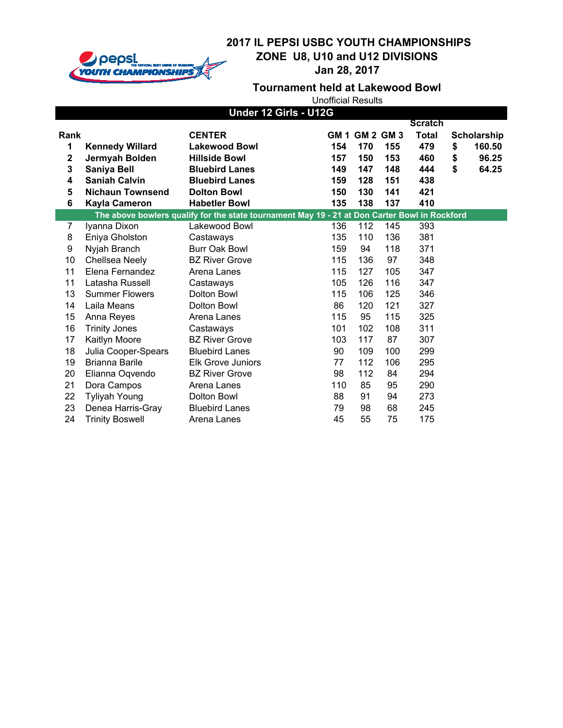

**Jan 28, 2017**

## **Tournament held at Lakewood Bowl**

| Under 12 Girls - U12G                        |                                                                                                                                    |                                                                                                                                                               |                                        |                                                                 |                                        |                                                                          |                |                                                |
|----------------------------------------------|------------------------------------------------------------------------------------------------------------------------------------|---------------------------------------------------------------------------------------------------------------------------------------------------------------|----------------------------------------|-----------------------------------------------------------------|----------------------------------------|--------------------------------------------------------------------------|----------------|------------------------------------------------|
| Rank<br>1<br>$\mathbf 2$<br>3<br>4<br>5<br>6 | <b>Kennedy Willard</b><br>Jermyah Bolden<br>Saniya Bell<br><b>Saniah Calvin</b><br><b>Nichaun Townsend</b><br><b>Kayla Cameron</b> | <b>CENTER</b><br><b>Lakewood Bowl</b><br><b>Hillside Bowl</b><br><b>Bluebird Lanes</b><br><b>Bluebird Lanes</b><br><b>Dolton Bowl</b><br><b>Habetler Bowl</b> | 154<br>157<br>149<br>159<br>150<br>135 | <b>GM 1 GM 2 GM 3</b><br>170<br>150<br>147<br>128<br>130<br>138 | 155<br>153<br>148<br>151<br>141<br>137 | <b>Scratch</b><br><b>Total</b><br>479<br>460<br>444<br>438<br>421<br>410 | \$<br>\$<br>\$ | <b>Scholarship</b><br>160.50<br>96.25<br>64.25 |
|                                              |                                                                                                                                    | The above bowlers qualify for the state tournament May 19 - 21 at Don Carter Bowl in Rockford                                                                 |                                        |                                                                 |                                        |                                                                          |                |                                                |
| 7                                            | Iyanna Dixon                                                                                                                       | Lakewood Bowl                                                                                                                                                 | 136                                    | 112                                                             | 145                                    | 393                                                                      |                |                                                |
| 8                                            | Eniya Gholston                                                                                                                     | Castaways                                                                                                                                                     | 135                                    | 110                                                             | 136                                    | 381                                                                      |                |                                                |
| 9                                            | Nyjah Branch                                                                                                                       | Burr Oak Bowl                                                                                                                                                 | 159                                    | 94                                                              | 118                                    | 371                                                                      |                |                                                |
| 10                                           | Chellsea Neely                                                                                                                     | <b>BZ River Grove</b>                                                                                                                                         | 115                                    | 136                                                             | 97                                     | 348                                                                      |                |                                                |
| 11                                           | Elena Fernandez                                                                                                                    | Arena Lanes                                                                                                                                                   | 115                                    | 127                                                             | 105                                    | 347                                                                      |                |                                                |
| 11                                           | Latasha Russell                                                                                                                    | Castaways                                                                                                                                                     | 105                                    | 126                                                             | 116                                    | 347                                                                      |                |                                                |
| 13                                           | <b>Summer Flowers</b>                                                                                                              | Dolton Bowl                                                                                                                                                   | 115                                    | 106                                                             | 125                                    | 346                                                                      |                |                                                |
| 14                                           | Laila Means                                                                                                                        | Dolton Bowl                                                                                                                                                   | 86                                     | 120                                                             | 121                                    | 327                                                                      |                |                                                |
| 15                                           | Anna Reyes                                                                                                                         | Arena Lanes                                                                                                                                                   | 115                                    | 95                                                              | 115                                    | 325                                                                      |                |                                                |
| 16                                           | <b>Trinity Jones</b>                                                                                                               | Castaways                                                                                                                                                     | 101                                    | 102                                                             | 108                                    | 311                                                                      |                |                                                |
| 17                                           | Kaitlyn Moore                                                                                                                      | <b>BZ River Grove</b>                                                                                                                                         | 103                                    | 117                                                             | 87                                     | 307                                                                      |                |                                                |
| 18                                           | Julia Cooper-Spears                                                                                                                | <b>Bluebird Lanes</b>                                                                                                                                         | 90                                     | 109                                                             | 100                                    | 299                                                                      |                |                                                |
| 19                                           | <b>Brianna Barile</b>                                                                                                              | <b>Elk Grove Juniors</b>                                                                                                                                      | 77                                     | 112                                                             | 106                                    | 295                                                                      |                |                                                |
| 20                                           | Elianna Oqvendo                                                                                                                    | <b>BZ River Grove</b>                                                                                                                                         | 98                                     | 112                                                             | 84                                     | 294                                                                      |                |                                                |
| 21                                           | Dora Campos                                                                                                                        | Arena Lanes                                                                                                                                                   | 110                                    | 85                                                              | 95                                     | 290                                                                      |                |                                                |
| 22                                           | <b>Tyliyah Young</b>                                                                                                               | Dolton Bowl                                                                                                                                                   | 88                                     | 91                                                              | 94                                     | 273                                                                      |                |                                                |
| 23                                           | Denea Harris-Gray                                                                                                                  | <b>Bluebird Lanes</b>                                                                                                                                         | 79                                     | 98                                                              | 68                                     | 245                                                                      |                |                                                |
| 24                                           | <b>Trinity Boswell</b>                                                                                                             | Arena Lanes                                                                                                                                                   | 45                                     | 55                                                              | 75                                     | 175                                                                      |                |                                                |